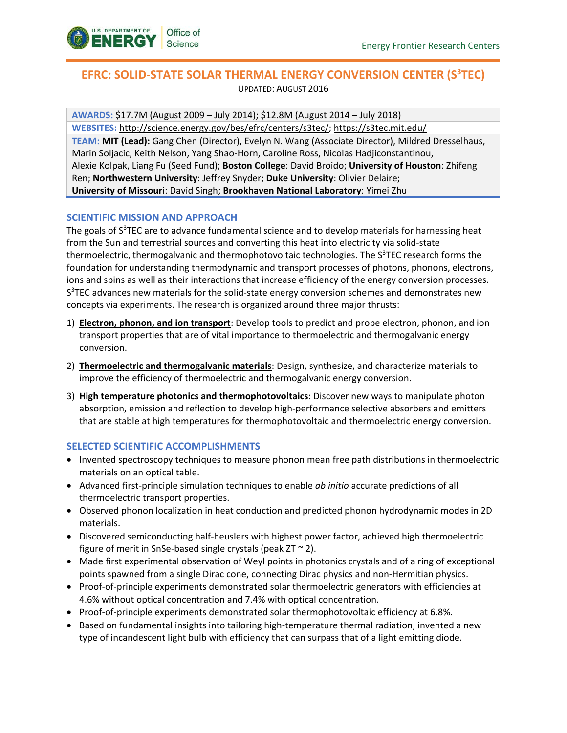

# **EFRC: SOLID-STATE SOLAR THERMAL ENERGY CONVERSION CENTER (S<sup>3</sup>TEC)** UPDATED: AUGUST 2016

**AWARDS:** \$17.7M (August 2009 – July 2014); \$12.8M (August 2014 – July 2018) **WEBSITES:** [http://science.energy.gov/bes/efrc/centers/s3tec/;](http://science.energy.gov/bes/efrc/centers/S3TEC/)<https://s3tec.mit.edu/> **TEAM: MIT (Lead):** Gang Chen (Director), Evelyn N. Wang (Associate Director), Mildred Dresselhaus, Marin Soljacic, Keith Nelson, Yang Shao-Horn, Caroline Ross, Nicolas Hadjiconstantinou, Alexie Kolpak, Liang Fu (Seed Fund); **Boston College**: David Broido; **University of Houston**: Zhifeng Ren; **Northwestern University**: Jeffrey Snyder; **Duke University**: Olivier Delaire; **University of Missouri**: David Singh; **Brookhaven National Laboratory**: Yimei Zhu

## **SCIENTIFIC MISSION AND APPROACH**

The goals of S<sup>3</sup>TEC are to advance fundamental science and to develop materials for harnessing heat from the Sun and terrestrial sources and converting this heat into electricity via solid-state thermoelectric, thermogalvanic and thermophotovoltaic technologies. The S<sup>3</sup>TEC research forms the foundation for understanding thermodynamic and transport processes of photons, phonons, electrons, ions and spins as well as their interactions that increase efficiency of the energy conversion processes. S<sup>3</sup>TEC advances new materials for the solid-state energy conversion schemes and demonstrates new concepts via experiments. The research is organized around three major thrusts:

- 1) **Electron, phonon, and ion transport**: Develop tools to predict and probe electron, phonon, and ion transport properties that are of vital importance to thermoelectric and thermogalvanic energy conversion.
- 2) **Thermoelectric and thermogalvanic materials**: Design, synthesize, and characterize materials to improve the efficiency of thermoelectric and thermogalvanic energy conversion.
- 3) **High temperature photonics and thermophotovoltaics**: Discover new ways to manipulate photon absorption, emission and reflection to develop high-performance selective absorbers and emitters that are stable at high temperatures for thermophotovoltaic and thermoelectric energy conversion.

### **SELECTED SCIENTIFIC ACCOMPLISHMENTS**

- Invented spectroscopy techniques to measure phonon mean free path distributions in thermoelectric materials on an optical table.
- Advanced first-principle simulation techniques to enable *ab initio* accurate predictions of all thermoelectric transport properties.
- Observed phonon localization in heat conduction and predicted phonon hydrodynamic modes in 2D materials.
- Discovered semiconducting half-heuslers with highest power factor, achieved high thermoelectric figure of merit in SnSe-based single crystals (peak  $ZT \sim 2$ ).
- Made first experimental observation of Weyl points in photonics crystals and of a ring of exceptional points spawned from a single Dirac cone, connecting Dirac physics and non-Hermitian physics.
- Proof-of-principle experiments demonstrated solar thermoelectric generators with efficiencies at 4.6% without optical concentration and 7.4% with optical concentration.
- Proof-of-principle experiments demonstrated solar thermophotovoltaic efficiency at 6.8%.
- Based on fundamental insights into tailoring high-temperature thermal radiation, invented a new type of incandescent light bulb with efficiency that can surpass that of a light emitting diode.